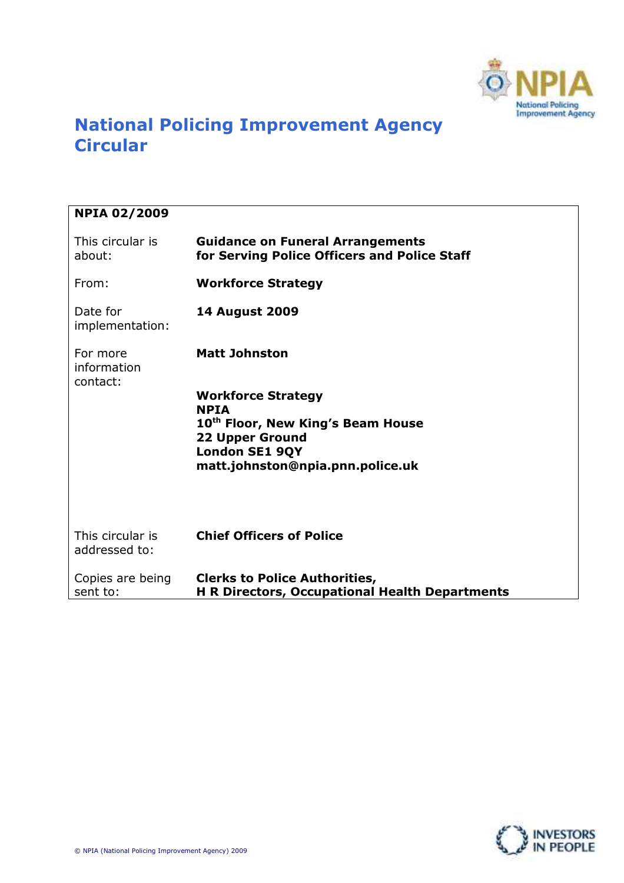

# National Policing Improvement Agency **Circular**

| <b>NPIA 02/2009</b>                 |                                                                                               |
|-------------------------------------|-----------------------------------------------------------------------------------------------|
| This circular is<br>about:          | <b>Guidance on Funeral Arrangements</b><br>for Serving Police Officers and Police Staff       |
| From:                               | <b>Workforce Strategy</b>                                                                     |
| Date for<br>implementation:         | <b>14 August 2009</b>                                                                         |
| For more<br>information<br>contact: | <b>Matt Johnston</b>                                                                          |
|                                     | <b>Workforce Strategy</b><br><b>NPTA</b><br>10 <sup>th</sup> Floor, New King's Beam House     |
|                                     | <b>22 Upper Ground</b><br><b>London SE1 9QY</b>                                               |
|                                     | matt.johnston@npia.pnn.police.uk                                                              |
|                                     |                                                                                               |
| This circular is<br>addressed to:   | <b>Chief Officers of Police</b>                                                               |
| Copies are being<br>sent to:        | <b>Clerks to Police Authorities,</b><br><b>H R Directors, Occupational Health Departments</b> |

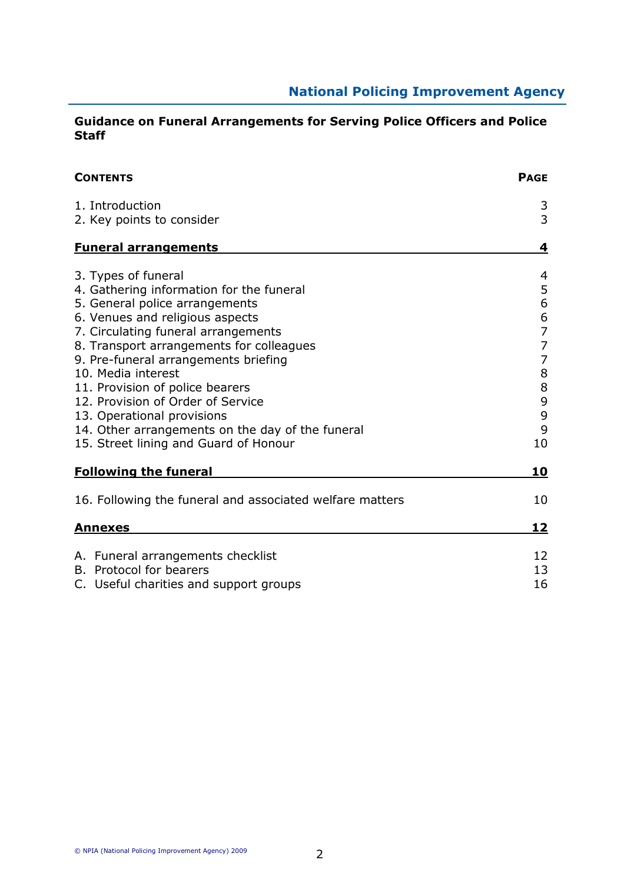### Guidance on Funeral Arrangements for Serving Police Officers and Police Staff

| <b>CONTENTS</b>                                            | <b>PAGE</b>                           |
|------------------------------------------------------------|---------------------------------------|
| 1. Introduction                                            | 3                                     |
| 2. Key points to consider                                  | 3                                     |
| <b>Funeral arrangements</b>                                | 4                                     |
| 3. Types of funeral                                        | 4                                     |
| 4. Gathering information for the funeral                   | 5                                     |
| 5. General police arrangements                             | 6                                     |
| 6. Venues and religious aspects                            | $\begin{array}{c} 6 \\ 7 \end{array}$ |
| 7. Circulating funeral arrangements                        |                                       |
| 8. Transport arrangements for colleagues                   | $\overline{7}$                        |
| 9. Pre-funeral arrangements briefing<br>10. Media interest | $\overline{7}$<br>8                   |
| 11. Provision of police bearers                            | $\bf 8$                               |
| 12. Provision of Order of Service                          |                                       |
| 13. Operational provisions                                 | 9<br>9                                |
| 14. Other arrangements on the day of the funeral           | 9                                     |
| 15. Street lining and Guard of Honour                      | 10                                    |
| <b>Following the funeral</b>                               | 10                                    |
| 16. Following the funeral and associated welfare matters   | 10                                    |
| <u>Annexes</u>                                             | 12                                    |
| A. Funeral arrangements checklist                          | 12                                    |
| B. Protocol for bearers                                    | 13                                    |
| C. Useful charities and support groups                     | 16                                    |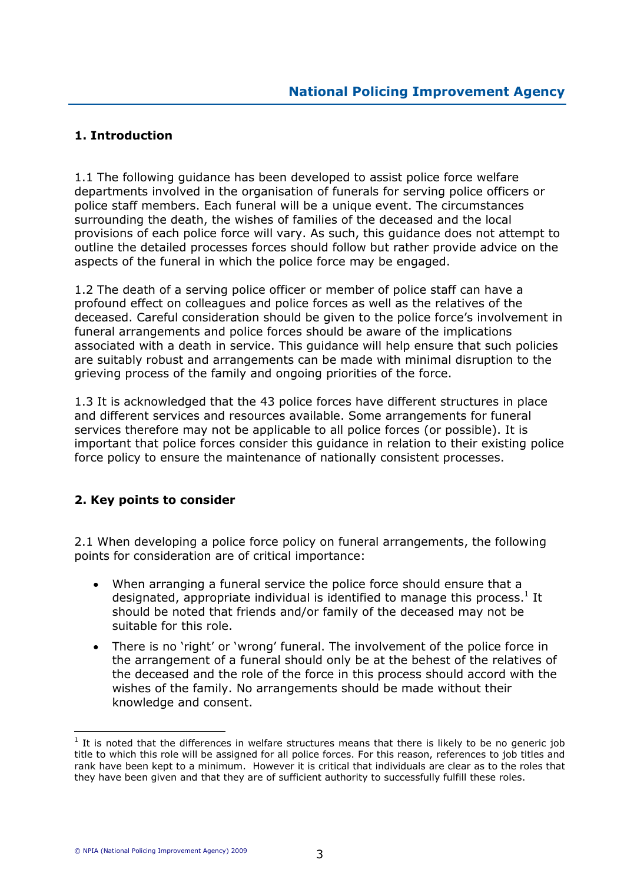# 1. Introduction

1.1 The following guidance has been developed to assist police force welfare departments involved in the organisation of funerals for serving police officers or police staff members. Each funeral will be a unique event. The circumstances surrounding the death, the wishes of families of the deceased and the local provisions of each police force will vary. As such, this guidance does not attempt to outline the detailed processes forces should follow but rather provide advice on the aspects of the funeral in which the police force may be engaged.

1.2 The death of a serving police officer or member of police staff can have a profound effect on colleagues and police forces as well as the relatives of the deceased. Careful consideration should be given to the police force's involvement in funeral arrangements and police forces should be aware of the implications associated with a death in service. This guidance will help ensure that such policies are suitably robust and arrangements can be made with minimal disruption to the grieving process of the family and ongoing priorities of the force.

1.3 It is acknowledged that the 43 police forces have different structures in place and different services and resources available. Some arrangements for funeral services therefore may not be applicable to all police forces (or possible). It is important that police forces consider this guidance in relation to their existing police force policy to ensure the maintenance of nationally consistent processes.

# 2. Key points to consider

2.1 When developing a police force policy on funeral arrangements, the following points for consideration are of critical importance:

- When arranging a funeral service the police force should ensure that a designated, appropriate individual is identified to manage this process.<sup>1</sup> It should be noted that friends and/or family of the deceased may not be suitable for this role.
- There is no 'right' or 'wrong' funeral. The involvement of the police force in the arrangement of a funeral should only be at the behest of the relatives of the deceased and the role of the force in this process should accord with the wishes of the family. No arrangements should be made without their knowledge and consent.

 $<sup>1</sup>$  It is noted that the differences in welfare structures means that there is likely to be no generic job</sup> title to which this role will be assigned for all police forces. For this reason, references to job titles and rank have been kept to a minimum. However it is critical that individuals are clear as to the roles that they have been given and that they are of sufficient authority to successfully fulfill these roles.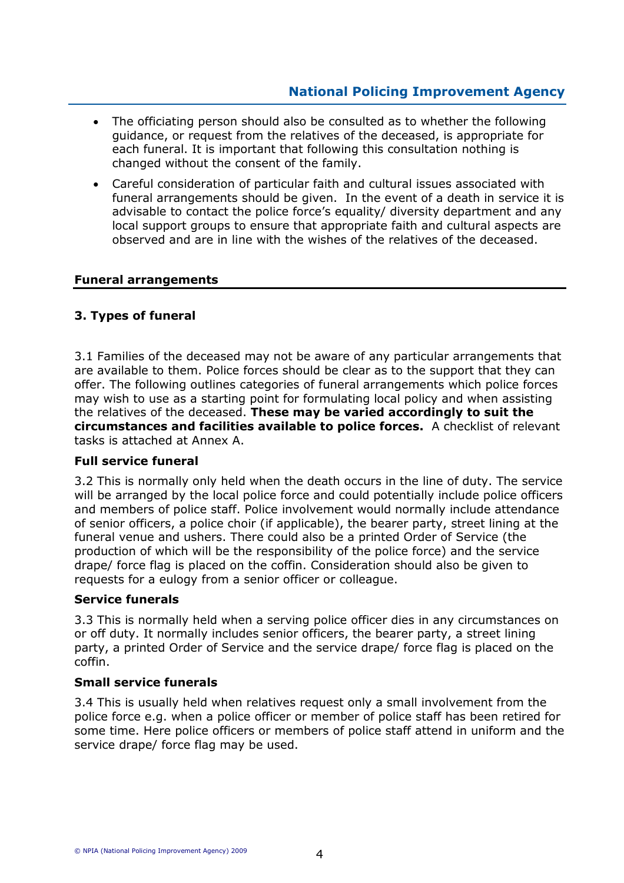- The officiating person should also be consulted as to whether the following guidance, or request from the relatives of the deceased, is appropriate for each funeral. It is important that following this consultation nothing is changed without the consent of the family.
- Careful consideration of particular faith and cultural issues associated with funeral arrangements should be given. In the event of a death in service it is advisable to contact the police force's equality/ diversity department and any local support groups to ensure that appropriate faith and cultural aspects are observed and are in line with the wishes of the relatives of the deceased.

### Funeral arrangements

### 3. Types of funeral

3.1 Families of the deceased may not be aware of any particular arrangements that are available to them. Police forces should be clear as to the support that they can offer. The following outlines categories of funeral arrangements which police forces may wish to use as a starting point for formulating local policy and when assisting the relatives of the deceased. These may be varied accordingly to suit the circumstances and facilities available to police forces. A checklist of relevant tasks is attached at Annex A.

### Full service funeral

3.2 This is normally only held when the death occurs in the line of duty. The service will be arranged by the local police force and could potentially include police officers and members of police staff. Police involvement would normally include attendance of senior officers, a police choir (if applicable), the bearer party, street lining at the funeral venue and ushers. There could also be a printed Order of Service (the production of which will be the responsibility of the police force) and the service drape/ force flag is placed on the coffin. Consideration should also be given to requests for a eulogy from a senior officer or colleague.

### Service funerals

3.3 This is normally held when a serving police officer dies in any circumstances on or off duty. It normally includes senior officers, the bearer party, a street lining party, a printed Order of Service and the service drape/ force flag is placed on the coffin.

### Small service funerals

3.4 This is usually held when relatives request only a small involvement from the police force e.g. when a police officer or member of police staff has been retired for some time. Here police officers or members of police staff attend in uniform and the service drape/ force flag may be used.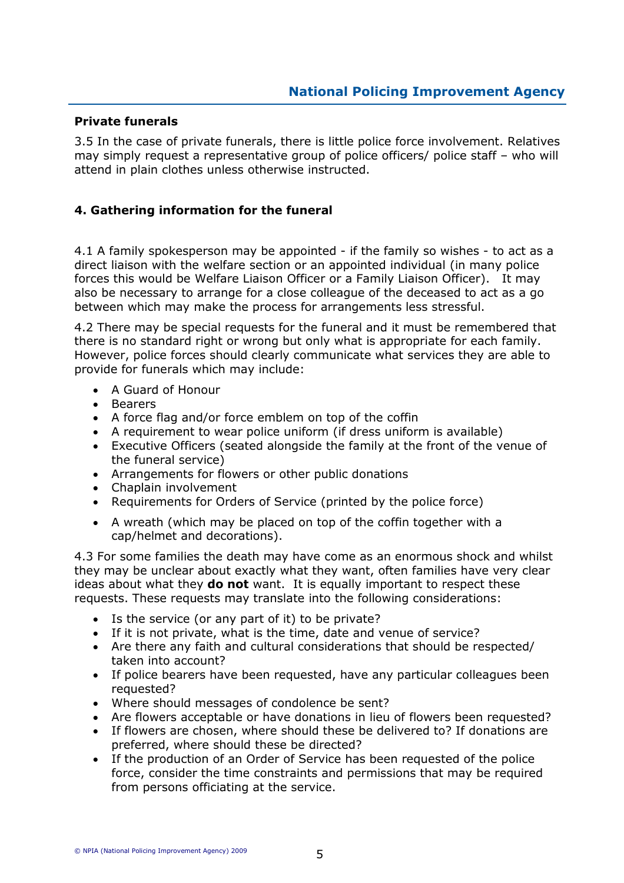### Private funerals

3.5 In the case of private funerals, there is little police force involvement. Relatives may simply request a representative group of police officers/ police staff – who will attend in plain clothes unless otherwise instructed.

### 4. Gathering information for the funeral

4.1 A family spokesperson may be appointed - if the family so wishes - to act as a direct liaison with the welfare section or an appointed individual (in many police forces this would be Welfare Liaison Officer or a Family Liaison Officer). It may also be necessary to arrange for a close colleague of the deceased to act as a go between which may make the process for arrangements less stressful.

4.2 There may be special requests for the funeral and it must be remembered that there is no standard right or wrong but only what is appropriate for each family. However, police forces should clearly communicate what services they are able to provide for funerals which may include:

- A Guard of Honour
- Bearers
- A force flag and/or force emblem on top of the coffin
- A requirement to wear police uniform (if dress uniform is available)
- Executive Officers (seated alongside the family at the front of the venue of the funeral service)
- Arrangements for flowers or other public donations
- Chaplain involvement
- Requirements for Orders of Service (printed by the police force)
- A wreath (which may be placed on top of the coffin together with a cap/helmet and decorations).

4.3 For some families the death may have come as an enormous shock and whilst they may be unclear about exactly what they want, often families have very clear ideas about what they **do not** want. It is equally important to respect these requests. These requests may translate into the following considerations:

- Is the service (or any part of it) to be private?
- If it is not private, what is the time, date and venue of service?
- Are there any faith and cultural considerations that should be respected/ taken into account?
- If police bearers have been requested, have any particular colleagues been requested?
- Where should messages of condolence be sent?
- Are flowers acceptable or have donations in lieu of flowers been requested?
- If flowers are chosen, where should these be delivered to? If donations are preferred, where should these be directed?
- If the production of an Order of Service has been requested of the police force, consider the time constraints and permissions that may be required from persons officiating at the service.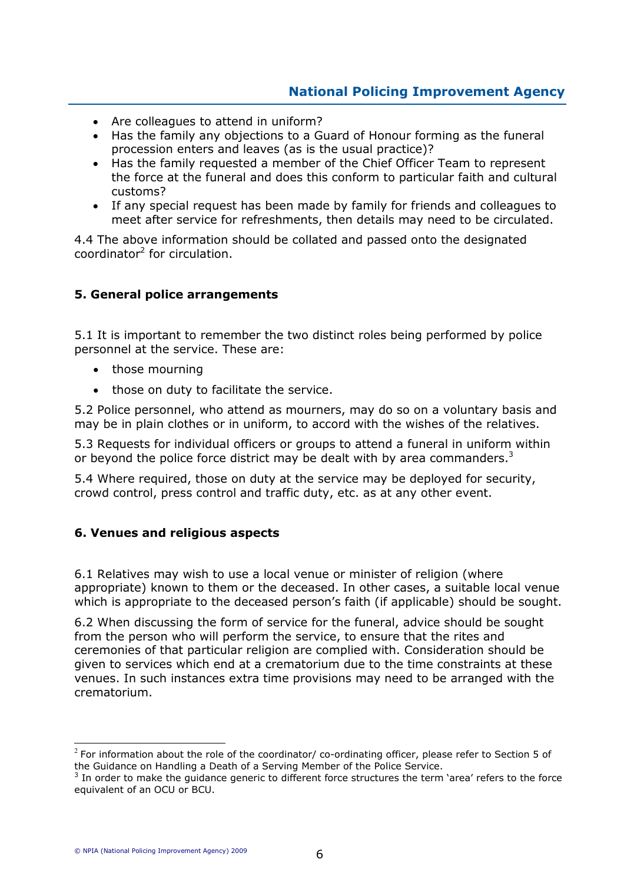- Are colleagues to attend in uniform?
- Has the family any objections to a Guard of Honour forming as the funeral procession enters and leaves (as is the usual practice)?
- Has the family requested a member of the Chief Officer Team to represent the force at the funeral and does this conform to particular faith and cultural customs?
- If any special request has been made by family for friends and colleagues to meet after service for refreshments, then details may need to be circulated.

4.4 The above information should be collated and passed onto the designated coordinator<sup>2</sup> for circulation.

### 5. General police arrangements

5.1 It is important to remember the two distinct roles being performed by police personnel at the service. These are:

- those mourning
- those on duty to facilitate the service.

5.2 Police personnel, who attend as mourners, may do so on a voluntary basis and may be in plain clothes or in uniform, to accord with the wishes of the relatives.

5.3 Requests for individual officers or groups to attend a funeral in uniform within or beyond the police force district may be dealt with by area commanders.<sup>3</sup>

5.4 Where required, those on duty at the service may be deployed for security, crowd control, press control and traffic duty, etc. as at any other event.

### 6. Venues and religious aspects

6.1 Relatives may wish to use a local venue or minister of religion (where appropriate) known to them or the deceased. In other cases, a suitable local venue which is appropriate to the deceased person's faith (if applicable) should be sought.

6.2 When discussing the form of service for the funeral, advice should be sought from the person who will perform the service, to ensure that the rites and ceremonies of that particular religion are complied with. Consideration should be given to services which end at a crematorium due to the time constraints at these venues. In such instances extra time provisions may need to be arranged with the crematorium.

 $\circledcirc$  NPIA (National Policing Improvement Agency) 2009

 $\overline{a}$ 

 $^2$  For information about the role of the coordinator/ co-ordinating officer, please refer to Section 5 of the Guidance on Handling a Death of a Serving Member of the Police Service.

 $3$  In order to make the guidance generic to different force structures the term 'area' refers to the force equivalent of an OCU or BCU.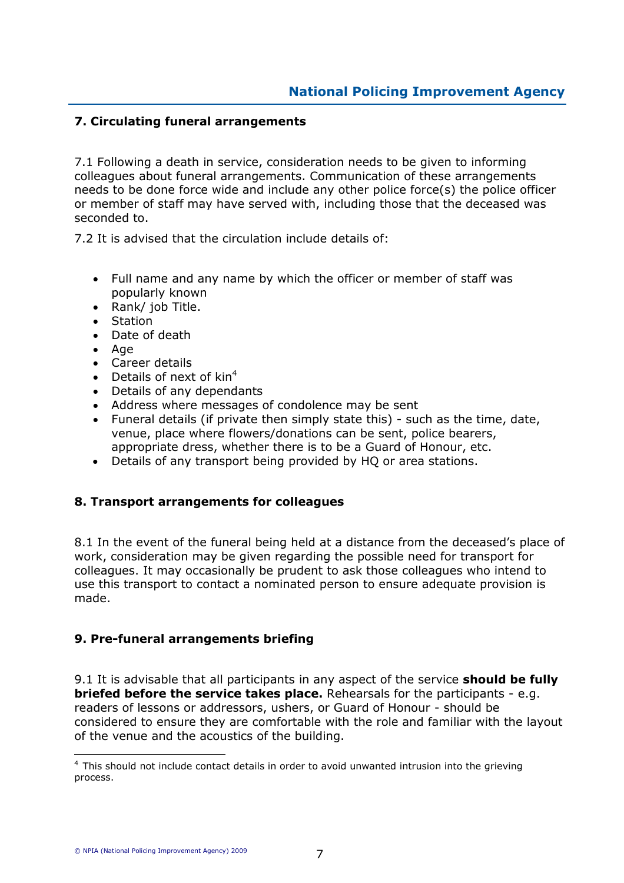# 7. Circulating funeral arrangements

7.1 Following a death in service, consideration needs to be given to informing colleagues about funeral arrangements. Communication of these arrangements needs to be done force wide and include any other police force(s) the police officer or member of staff may have served with, including those that the deceased was seconded to.

7.2 It is advised that the circulation include details of:

- Full name and any name by which the officer or member of staff was popularly known
- Rank/ job Title.
- Station
- Date of death
- Age
- Career details
- Details of next of  $\text{kin}^4$
- Details of any dependants
- Address where messages of condolence may be sent
- Funeral details (if private then simply state this) such as the time, date, venue, place where flowers/donations can be sent, police bearers, appropriate dress, whether there is to be a Guard of Honour, etc.
- Details of any transport being provided by HQ or area stations.

### 8. Transport arrangements for colleagues

8.1 In the event of the funeral being held at a distance from the deceased's place of work, consideration may be given regarding the possible need for transport for colleagues. It may occasionally be prudent to ask those colleagues who intend to use this transport to contact a nominated person to ensure adequate provision is made.

### 9. Pre-funeral arrangements briefing

9.1 It is advisable that all participants in any aspect of the service **should be fully briefed before the service takes place.** Rehearsals for the participants - e.g. readers of lessons or addressors, ushers, or Guard of Honour - should be considered to ensure they are comfortable with the role and familiar with the layout of the venue and the acoustics of the building.

 $\overline{a}$ 

<sup>4</sup> This should not include contact details in order to avoid unwanted intrusion into the grieving process.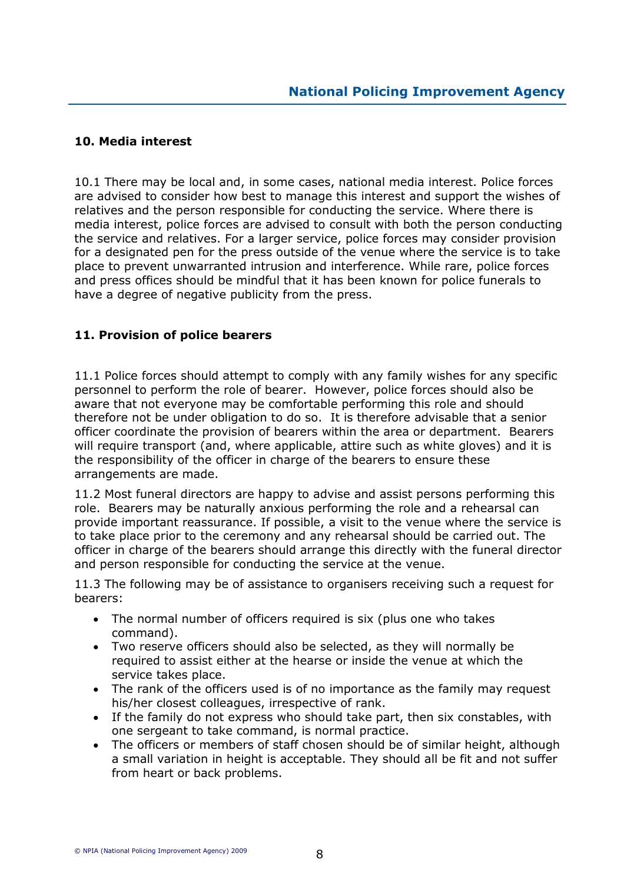### 10. Media interest

10.1 There may be local and, in some cases, national media interest. Police forces are advised to consider how best to manage this interest and support the wishes of relatives and the person responsible for conducting the service. Where there is media interest, police forces are advised to consult with both the person conducting the service and relatives. For a larger service, police forces may consider provision for a designated pen for the press outside of the venue where the service is to take place to prevent unwarranted intrusion and interference. While rare, police forces and press offices should be mindful that it has been known for police funerals to have a degree of negative publicity from the press.

### 11. Provision of police bearers

11.1 Police forces should attempt to comply with any family wishes for any specific personnel to perform the role of bearer. However, police forces should also be aware that not everyone may be comfortable performing this role and should therefore not be under obligation to do so. It is therefore advisable that a senior officer coordinate the provision of bearers within the area or department. Bearers will require transport (and, where applicable, attire such as white gloves) and it is the responsibility of the officer in charge of the bearers to ensure these arrangements are made.

11.2 Most funeral directors are happy to advise and assist persons performing this role. Bearers may be naturally anxious performing the role and a rehearsal can provide important reassurance. If possible, a visit to the venue where the service is to take place prior to the ceremony and any rehearsal should be carried out. The officer in charge of the bearers should arrange this directly with the funeral director and person responsible for conducting the service at the venue.

11.3 The following may be of assistance to organisers receiving such a request for bearers:

- The normal number of officers required is six (plus one who takes command).
- Two reserve officers should also be selected, as they will normally be required to assist either at the hearse or inside the venue at which the service takes place.
- The rank of the officers used is of no importance as the family may request his/her closest colleagues, irrespective of rank.
- If the family do not express who should take part, then six constables, with one sergeant to take command, is normal practice.
- The officers or members of staff chosen should be of similar height, although a small variation in height is acceptable. They should all be fit and not suffer from heart or back problems.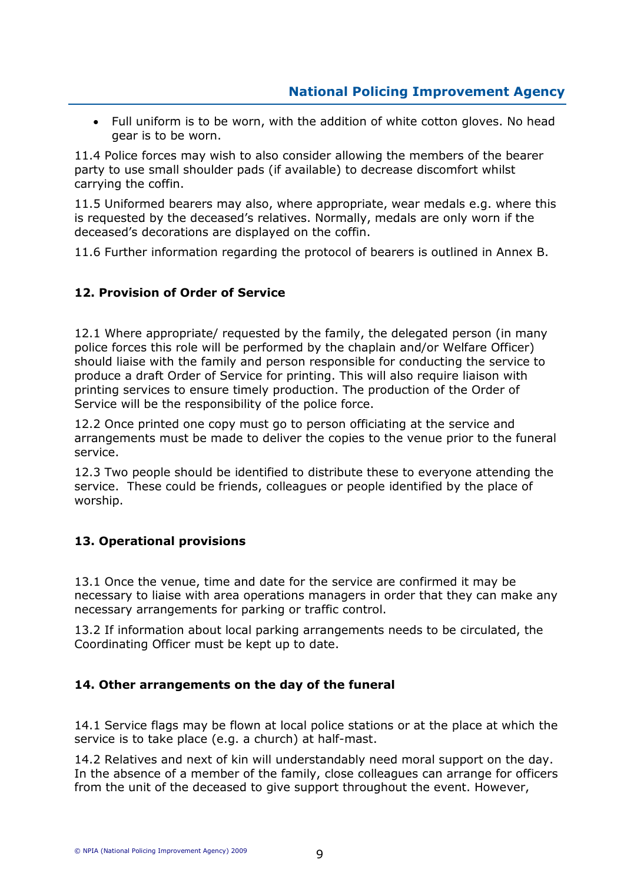• Full uniform is to be worn, with the addition of white cotton gloves. No head gear is to be worn.

11.4 Police forces may wish to also consider allowing the members of the bearer party to use small shoulder pads (if available) to decrease discomfort whilst carrying the coffin.

11.5 Uniformed bearers may also, where appropriate, wear medals e.g. where this is requested by the deceased's relatives. Normally, medals are only worn if the deceased's decorations are displayed on the coffin.

11.6 Further information regarding the protocol of bearers is outlined in Annex B.

### 12. Provision of Order of Service

12.1 Where appropriate/ requested by the family, the delegated person (in many police forces this role will be performed by the chaplain and/or Welfare Officer) should liaise with the family and person responsible for conducting the service to produce a draft Order of Service for printing. This will also require liaison with printing services to ensure timely production. The production of the Order of Service will be the responsibility of the police force.

12.2 Once printed one copy must go to person officiating at the service and arrangements must be made to deliver the copies to the venue prior to the funeral service.

12.3 Two people should be identified to distribute these to everyone attending the service. These could be friends, colleagues or people identified by the place of worship.

### 13. Operational provisions

13.1 Once the venue, time and date for the service are confirmed it may be necessary to liaise with area operations managers in order that they can make any necessary arrangements for parking or traffic control.

13.2 If information about local parking arrangements needs to be circulated, the Coordinating Officer must be kept up to date.

### 14. Other arrangements on the day of the funeral

14.1 Service flags may be flown at local police stations or at the place at which the service is to take place (e.g. a church) at half-mast.

14.2 Relatives and next of kin will understandably need moral support on the day. In the absence of a member of the family, close colleagues can arrange for officers from the unit of the deceased to give support throughout the event. However,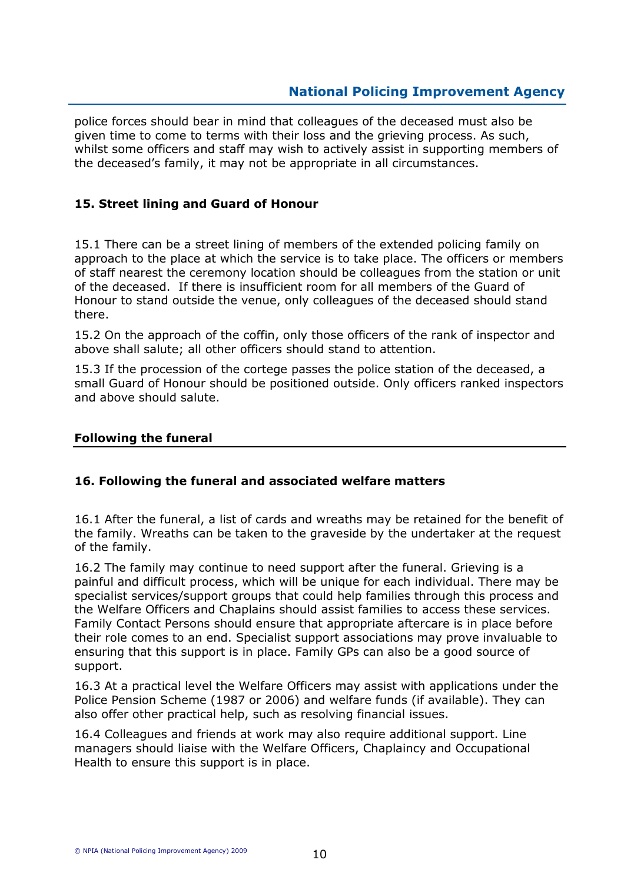police forces should bear in mind that colleagues of the deceased must also be given time to come to terms with their loss and the grieving process. As such, whilst some officers and staff may wish to actively assist in supporting members of the deceased's family, it may not be appropriate in all circumstances.

### 15. Street lining and Guard of Honour

15.1 There can be a street lining of members of the extended policing family on approach to the place at which the service is to take place. The officers or members of staff nearest the ceremony location should be colleagues from the station or unit of the deceased. If there is insufficient room for all members of the Guard of Honour to stand outside the venue, only colleagues of the deceased should stand there.

15.2 On the approach of the coffin, only those officers of the rank of inspector and above shall salute; all other officers should stand to attention.

15.3 If the procession of the cortege passes the police station of the deceased, a small Guard of Honour should be positioned outside. Only officers ranked inspectors and above should salute.

### Following the funeral

### 16. Following the funeral and associated welfare matters

16.1 After the funeral, a list of cards and wreaths may be retained for the benefit of the family. Wreaths can be taken to the graveside by the undertaker at the request of the family.

16.2 The family may continue to need support after the funeral. Grieving is a painful and difficult process, which will be unique for each individual. There may be specialist services/support groups that could help families through this process and the Welfare Officers and Chaplains should assist families to access these services. Family Contact Persons should ensure that appropriate aftercare is in place before their role comes to an end. Specialist support associations may prove invaluable to ensuring that this support is in place. Family GPs can also be a good source of support.

16.3 At a practical level the Welfare Officers may assist with applications under the Police Pension Scheme (1987 or 2006) and welfare funds (if available). They can also offer other practical help, such as resolving financial issues.

16.4 Colleagues and friends at work may also require additional support. Line managers should liaise with the Welfare Officers, Chaplaincy and Occupational Health to ensure this support is in place.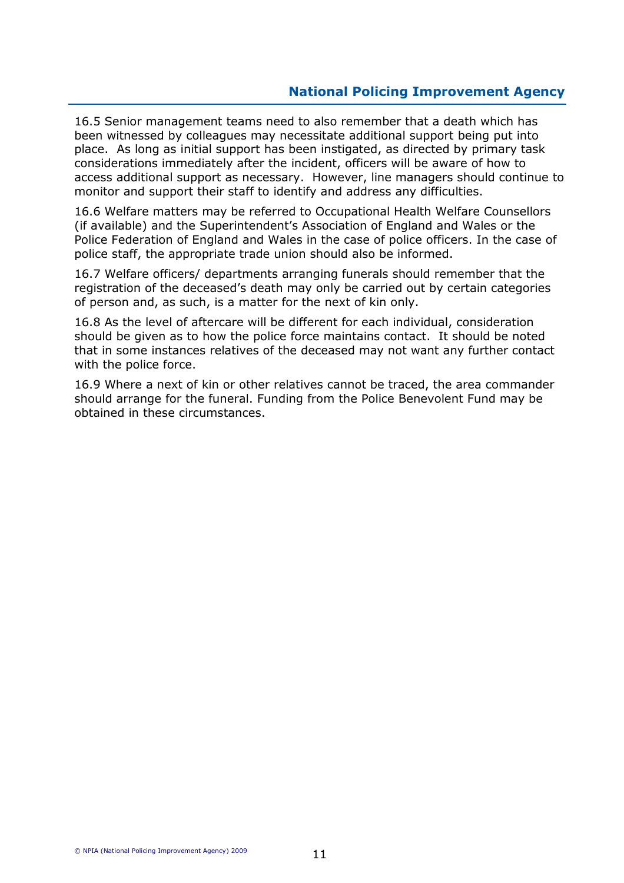16.5 Senior management teams need to also remember that a death which has been witnessed by colleagues may necessitate additional support being put into place. As long as initial support has been instigated, as directed by primary task considerations immediately after the incident, officers will be aware of how to access additional support as necessary. However, line managers should continue to monitor and support their staff to identify and address any difficulties.

16.6 Welfare matters may be referred to Occupational Health Welfare Counsellors (if available) and the Superintendent's Association of England and Wales or the Police Federation of England and Wales in the case of police officers. In the case of police staff, the appropriate trade union should also be informed.

16.7 Welfare officers/ departments arranging funerals should remember that the registration of the deceased's death may only be carried out by certain categories of person and, as such, is a matter for the next of kin only.

16.8 As the level of aftercare will be different for each individual, consideration should be given as to how the police force maintains contact. It should be noted that in some instances relatives of the deceased may not want any further contact with the police force.

16.9 Where a next of kin or other relatives cannot be traced, the area commander should arrange for the funeral. Funding from the Police Benevolent Fund may be obtained in these circumstances.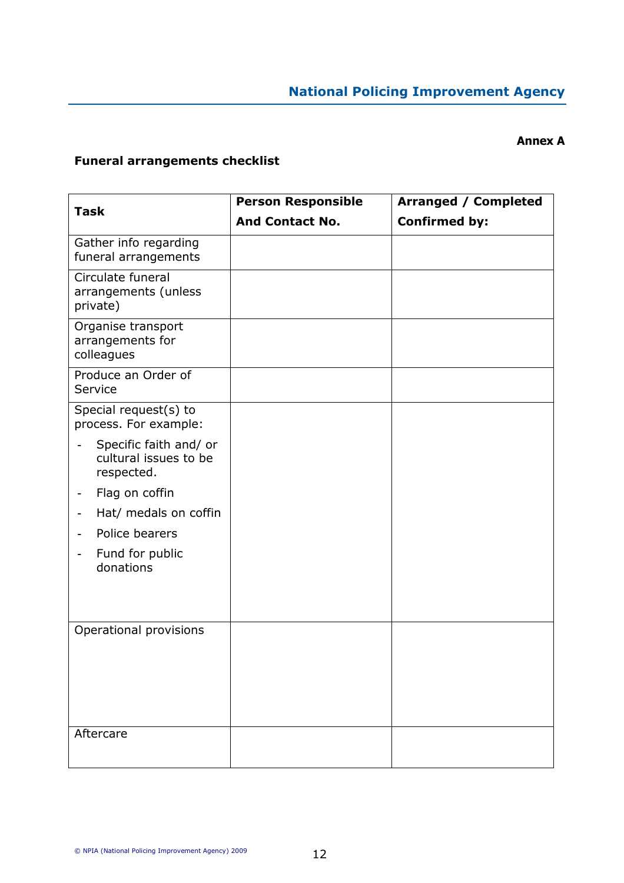### Annex A

# Funeral arrangements checklist

| <b>Task</b>                                                   | <b>Person Responsible</b> | <b>Arranged / Completed</b> |
|---------------------------------------------------------------|---------------------------|-----------------------------|
|                                                               | <b>And Contact No.</b>    | <b>Confirmed by:</b>        |
| Gather info regarding<br>funeral arrangements                 |                           |                             |
| Circulate funeral<br>arrangements (unless<br>private)         |                           |                             |
| Organise transport<br>arrangements for<br>colleagues          |                           |                             |
| Produce an Order of<br>Service                                |                           |                             |
| Special request(s) to<br>process. For example:                |                           |                             |
| Specific faith and/ or<br>cultural issues to be<br>respected. |                           |                             |
| Flag on coffin                                                |                           |                             |
| Hat/ medals on coffin                                         |                           |                             |
| Police bearers                                                |                           |                             |
| Fund for public<br>donations                                  |                           |                             |
|                                                               |                           |                             |
| Operational provisions                                        |                           |                             |
| Aftercare                                                     |                           |                             |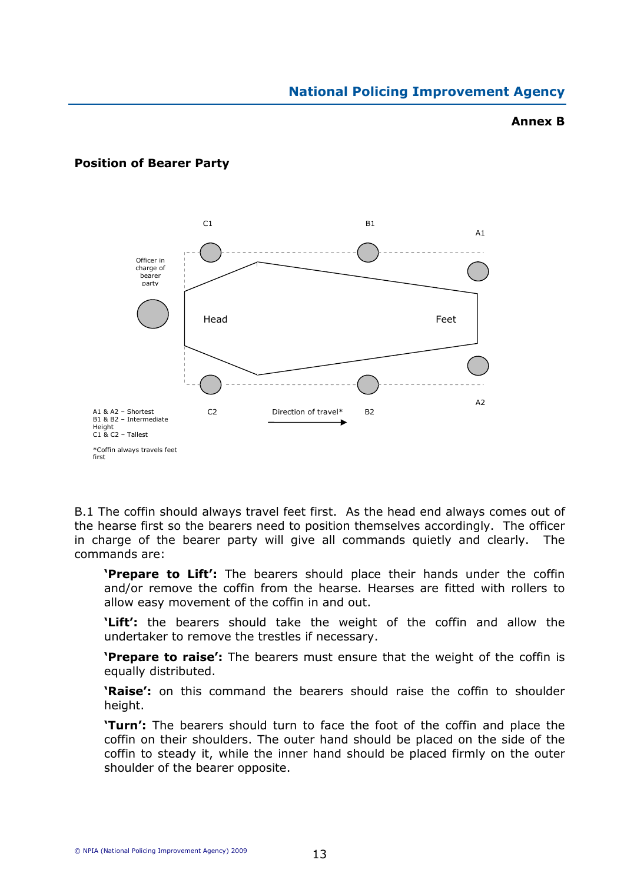### Annex B



### Position of Bearer Party

B.1 The coffin should always travel feet first. As the head end always comes out of the hearse first so the bearers need to position themselves accordingly. The officer in charge of the bearer party will give all commands quietly and clearly. The commands are:

**Prepare to Lift':** The bearers should place their hands under the coffin and/or remove the coffin from the hearse. Hearses are fitted with rollers to allow easy movement of the coffin in and out.

'Lift': the bearers should take the weight of the coffin and allow the undertaker to remove the trestles if necessary.

**'Prepare to raise':** The bearers must ensure that the weight of the coffin is equally distributed.

**'Raise':** on this command the bearers should raise the coffin to shoulder height.

'Turn': The bearers should turn to face the foot of the coffin and place the coffin on their shoulders. The outer hand should be placed on the side of the coffin to steady it, while the inner hand should be placed firmly on the outer shoulder of the bearer opposite.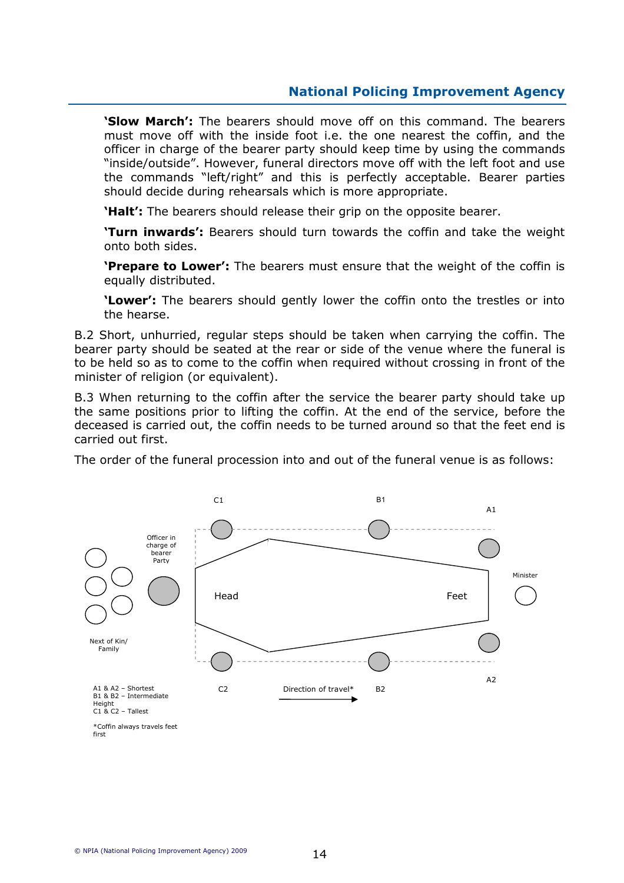**'Slow March':** The bearers should move off on this command. The bearers must move off with the inside foot i.e. the one nearest the coffin, and the officer in charge of the bearer party should keep time by using the commands "inside/outside". However, funeral directors move off with the left foot and use the commands "left/right" and this is perfectly acceptable. Bearer parties should decide during rehearsals which is more appropriate.

**Halt':** The bearers should release their grip on the opposite bearer.

**Turn inwards':** Bearers should turn towards the coffin and take the weight onto both sides.

'Prepare to Lower': The bearers must ensure that the weight of the coffin is equally distributed.

'Lower': The bearers should gently lower the coffin onto the trestles or into the hearse.

B.2 Short, unhurried, regular steps should be taken when carrying the coffin. The bearer party should be seated at the rear or side of the venue where the funeral is to be held so as to come to the coffin when required without crossing in front of the minister of religion (or equivalent).

B.3 When returning to the coffin after the service the bearer party should take up the same positions prior to lifting the coffin. At the end of the service, before the deceased is carried out, the coffin needs to be turned around so that the feet end is carried out first.

The order of the funeral procession into and out of the funeral venue is as follows:



first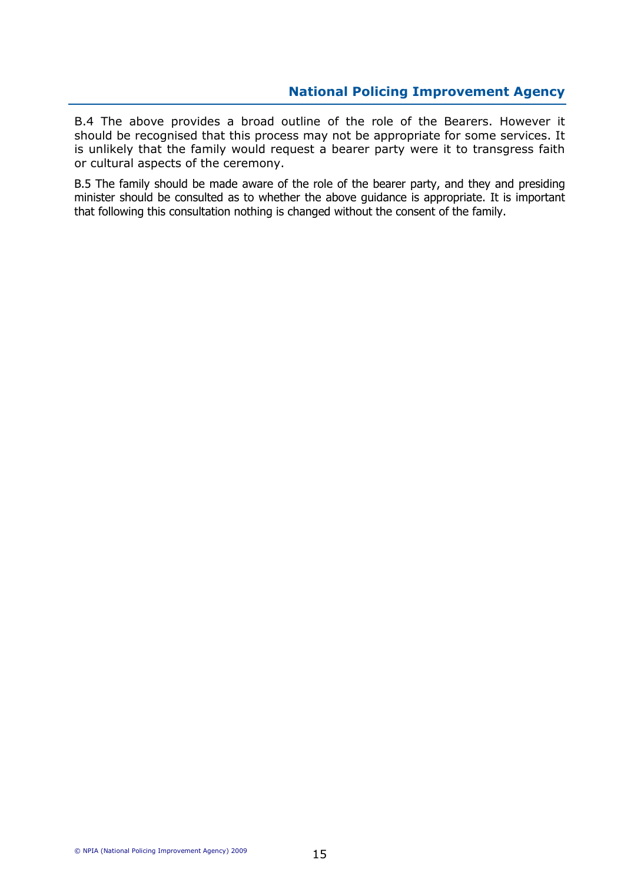B.4 The above provides a broad outline of the role of the Bearers. However it should be recognised that this process may not be appropriate for some services. It is unlikely that the family would request a bearer party were it to transgress faith or cultural aspects of the ceremony.

B.5 The family should be made aware of the role of the bearer party, and they and presiding minister should be consulted as to whether the above guidance is appropriate. It is important that following this consultation nothing is changed without the consent of the family.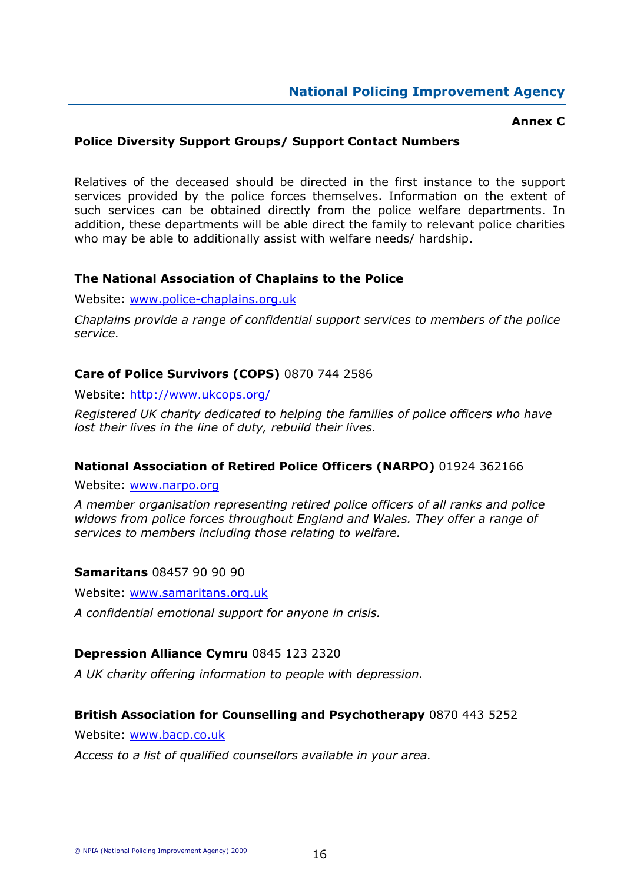### Annex C

### Police Diversity Support Groups/ Support Contact Numbers

Relatives of the deceased should be directed in the first instance to the support services provided by the police forces themselves. Information on the extent of such services can be obtained directly from the police welfare departments. In addition, these departments will be able direct the family to relevant police charities who may be able to additionally assist with welfare needs/ hardship.

### The National Association of Chaplains to the Police

Website: www.police-chaplains.org.uk

Chaplains provide a range of confidential support services to members of the police service.

### Care of Police Survivors (COPS) 0870 744 2586

Website: http://www.ukcops.org/

Registered UK charity dedicated to helping the families of police officers who have lost their lives in the line of duty, rebuild their lives.

### National Association of Retired Police Officers (NARPO) 01924 362166

Website: www.narpo.org

A member organisation representing retired police officers of all ranks and police widows from police forces throughout England and Wales. They offer a range of services to members including those relating to welfare.

### Samaritans 08457 90 90 90

Website: www.samaritans.org.uk

A confidential emotional support for anyone in crisis.

### Depression Alliance Cymru 0845 123 2320

A UK charity offering information to people with depression.

### British Association for Counselling and Psychotherapy 0870 443 5252

Website: www.bacp.co.uk

Access to a list of qualified counsellors available in your area.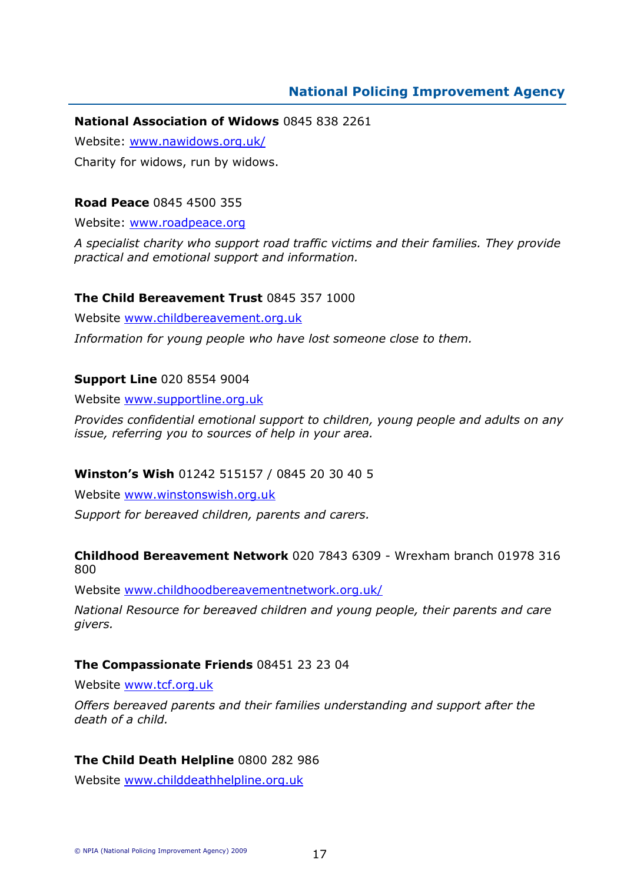### National Association of Widows 0845 838 2261

Website: www.nawidows.org.uk/

Charity for widows, run by widows.

### Road Peace 0845 4500 355

Website: www.roadpeace.org

A specialist charity who support road traffic victims and their families. They provide practical and emotional support and information.

### The Child Bereavement Trust 0845 357 1000

Website www.childbereavement.org.uk

Information for young people who have lost someone close to them.

### Support Line 020 8554 9004

Website www.supportline.org.uk

Provides confidential emotional support to children, young people and adults on any issue, referring you to sources of help in your area.

### Winston's Wish 01242 515157 / 0845 20 30 40 5

Website www.winstonswish.org.uk

Support for bereaved children, parents and carers.

### Childhood Bereavement Network 020 7843 6309 - Wrexham branch 01978 316 800

Website www.childhoodbereavementnetwork.org.uk/

National Resource for bereaved children and young people, their parents and care givers.

### The Compassionate Friends 08451 23 23 04

Website www.tcf.org.uk

Offers bereaved parents and their families understanding and support after the death of a child.

### The Child Death Helpline 0800 282 986

Website www.childdeathhelpline.org.uk